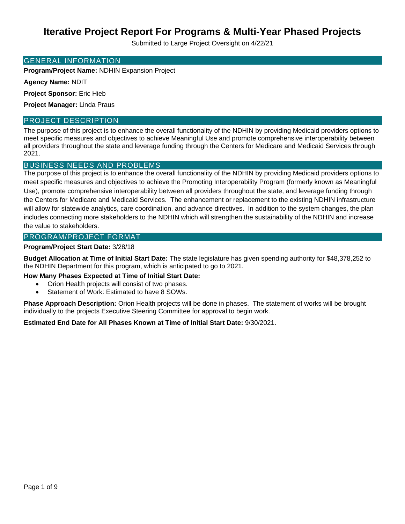Submitted to Large Project Oversight on 4/22/21

### GENERAL INFORMATION

**Program/Project Name:** NDHIN Expansion Project

**Agency Name:** NDIT

**Project Sponsor:** Eric Hieb

**Project Manager:** Linda Praus

## PROJECT DESCRIPTION

The purpose of this project is to enhance the overall functionality of the NDHIN by providing Medicaid providers options to meet specific measures and objectives to achieve Meaningful Use and promote comprehensive interoperability between all providers throughout the state and leverage funding through the Centers for Medicare and Medicaid Services through 2021.

## BUSINESS NEEDS AND PROBLEMS

The purpose of this project is to enhance the overall functionality of the NDHIN by providing Medicaid providers options to meet specific measures and objectives to achieve the Promoting Interoperability Program (formerly known as Meaningful Use), promote comprehensive interoperability between all providers throughout the state, and leverage funding through the Centers for Medicare and Medicaid Services. The enhancement or replacement to the existing NDHIN infrastructure will allow for statewide analytics, care coordination, and advance directives. In addition to the system changes, the plan includes connecting more stakeholders to the NDHIN which will strengthen the sustainability of the NDHIN and increase the value to stakeholders.

## PROGRAM/PROJECT FORMAT

### **Program/Project Start Date:** 3/28/18

**Budget Allocation at Time of Initial Start Date:** The state legislature has given spending authority for \$48,378,252 to the NDHIN Department for this program, which is anticipated to go to 2021.

### **How Many Phases Expected at Time of Initial Start Date:**

- Orion Health projects will consist of two phases.
- Statement of Work: Estimated to have 8 SOWs.

**Phase Approach Description:** Orion Health projects will be done in phases. The statement of works will be brought individually to the projects Executive Steering Committee for approval to begin work.

### **Estimated End Date for All Phases Known at Time of Initial Start Date:** 9/30/2021.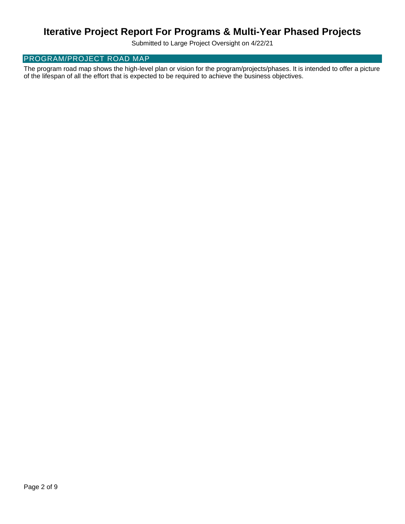Submitted to Large Project Oversight on 4/22/21

## PROGRAM/PROJECT ROAD MAP

The program road map shows the high-level plan or vision for the program/projects/phases. It is intended to offer a picture of the lifespan of all the effort that is expected to be required to achieve the business objectives.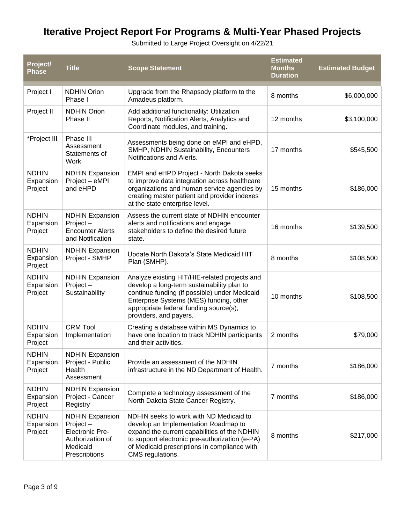Submitted to Large Project Oversight on 4/22/21

| Project/<br><b>Phase</b>             | <b>Title</b>                                                                                                  | <b>Scope Statement</b>                                                                                                                                                                                                                                      | <b>Estimated</b><br><b>Months</b><br><b>Duration</b> | <b>Estimated Budget</b> |
|--------------------------------------|---------------------------------------------------------------------------------------------------------------|-------------------------------------------------------------------------------------------------------------------------------------------------------------------------------------------------------------------------------------------------------------|------------------------------------------------------|-------------------------|
| Project I                            | <b>NDHIN Orion</b><br>Phase I                                                                                 | Upgrade from the Rhapsody platform to the<br>Amadeus platform.                                                                                                                                                                                              | 8 months                                             | \$6,000,000             |
| Project II                           | <b>NDHIN Orion</b><br>Phase II                                                                                | Add additional functionality: Utilization<br>Reports, Notification Alerts, Analytics and<br>Coordinate modules, and training.                                                                                                                               | 12 months                                            | \$3,100,000             |
| *Project III                         | Phase III<br>Assessment<br>Statements of<br>Work                                                              | Assessments being done on eMPI and eHPD,<br>SMHP, NDHIN Sustainability, Encounters<br>Notifications and Alerts.                                                                                                                                             | 17 months                                            | \$545,500               |
| <b>NDHIN</b><br>Expansion<br>Project | <b>NDHIN Expansion</b><br>Project - eMPI<br>and eHPD                                                          | EMPI and eHPD Project - North Dakota seeks<br>to improve data integration across healthcare<br>organizations and human service agencies by<br>creating master patient and provider indexes<br>at the state enterprise level.                                | 15 months                                            | \$186,000               |
| <b>NDHIN</b><br>Expansion<br>Project | <b>NDHIN Expansion</b><br>Project-<br><b>Encounter Alerts</b><br>and Notification                             | Assess the current state of NDHIN encounter<br>alerts and notifications and engage<br>stakeholders to define the desired future<br>state.                                                                                                                   | 16 months                                            | \$139,500               |
| <b>NDHIN</b><br>Expansion<br>Project | <b>NDHIN Expansion</b><br>Project - SMHP                                                                      | Update North Dakota's State Medicaid HIT<br>Plan (SMHP).                                                                                                                                                                                                    | 8 months                                             | \$108,500               |
| <b>NDHIN</b><br>Expansion<br>Project | <b>NDHIN Expansion</b><br>Project-<br>Sustainability                                                          | Analyze existing HIT/HIE-related projects and<br>develop a long-term sustainability plan to<br>continue funding (if possible) under Medicaid<br>Enterprise Systems (MES) funding, other<br>appropriate federal funding source(s),<br>providers, and payers. | 10 months                                            | \$108,500               |
| <b>NDHIN</b><br>Expansion<br>Project | <b>CRM Tool</b><br>Implementation                                                                             | Creating a database within MS Dynamics to<br>have one location to track NDHIN participants<br>and their activities.                                                                                                                                         | 2 months                                             | \$79,000                |
| <b>NDHIN</b><br>Expansion<br>Project | <b>NDHIN Expansion</b><br>Project - Public<br>Health<br>Assessment                                            | Provide an assessment of the NDHIN<br>infrastructure in the ND Department of Health.                                                                                                                                                                        | 7 months                                             | \$186,000               |
| <b>NDHIN</b><br>Expansion<br>Project | <b>NDHIN Expansion</b><br>Project - Cancer<br>Registry                                                        | Complete a technology assessment of the<br>North Dakota State Cancer Registry.                                                                                                                                                                              | 7 months                                             | \$186,000               |
| <b>NDHIN</b><br>Expansion<br>Project | <b>NDHIN Expansion</b><br>Project-<br><b>Electronic Pre-</b><br>Authorization of<br>Medicaid<br>Prescriptions | NDHIN seeks to work with ND Medicaid to<br>develop an Implementation Roadmap to<br>expand the current capabilities of the NDHIN<br>to support electronic pre-authorization (e-PA)<br>of Medicaid prescriptions in compliance with<br>CMS regulations.       | 8 months                                             | \$217,000               |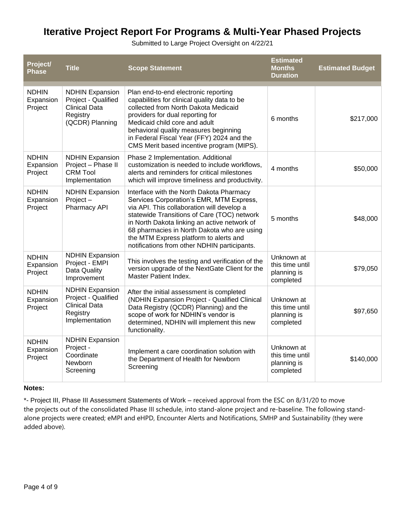Submitted to Large Project Oversight on 4/22/21

| Project/<br><b>Phase</b>             | <b>Title</b>                                                                                         | <b>Scope Statement</b>                                                                                                                                                                                                                                                                                                                                                     | <b>Estimated</b><br><b>Months</b><br><b>Duration</b>      | <b>Estimated Budget</b> |
|--------------------------------------|------------------------------------------------------------------------------------------------------|----------------------------------------------------------------------------------------------------------------------------------------------------------------------------------------------------------------------------------------------------------------------------------------------------------------------------------------------------------------------------|-----------------------------------------------------------|-------------------------|
| <b>NDHIN</b><br>Expansion<br>Project | <b>NDHIN Expansion</b><br>Project - Qualified<br><b>Clinical Data</b><br>Registry<br>(QCDR) Planning | Plan end-to-end electronic reporting<br>capabilities for clinical quality data to be<br>collected from North Dakota Medicaid<br>providers for dual reporting for<br>Medicaid child core and adult<br>behavioral quality measures beginning<br>in Federal Fiscal Year (FFY) 2024 and the<br>CMS Merit based incentive program (MIPS).                                       | 6 months                                                  | \$217,000               |
| <b>NDHIN</b><br>Expansion<br>Project | <b>NDHIN Expansion</b><br>Project - Phase II<br><b>CRM Tool</b><br>Implementation                    | Phase 2 Implementation. Additional<br>customization is needed to include workflows,<br>alerts and reminders for critical milestones<br>which will improve timeliness and productivity.                                                                                                                                                                                     | 4 months                                                  | \$50,000                |
| <b>NDHIN</b><br>Expansion<br>Project | <b>NDHIN Expansion</b><br>$Project -$<br>Pharmacy API                                                | Interface with the North Dakota Pharmacy<br>Services Corporation's EMR, MTM Express,<br>via API. This collaboration will develop a<br>statewide Transitions of Care (TOC) network<br>in North Dakota linking an active network of<br>68 pharmacies in North Dakota who are using<br>the MTM Express platform to alerts and<br>notifications from other NDHIN participants. | 5 months                                                  | \$48,000                |
| <b>NDHIN</b><br>Expansion<br>Project | <b>NDHIN Expansion</b><br>Project - EMPI<br>Data Quality<br>Improvement                              | This involves the testing and verification of the<br>version upgrade of the NextGate Client for the<br>Master Patient Index.                                                                                                                                                                                                                                               | Unknown at<br>this time until<br>planning is<br>completed | \$79,050                |
| <b>NDHIN</b><br>Expansion<br>Project | <b>NDHIN Expansion</b><br>Project - Qualified<br><b>Clinical Data</b><br>Registry<br>Implementation  | After the initial assessment is completed<br>(NDHIN Expansion Project - Qualified Clinical<br>Data Registry (QCDR) Planning) and the<br>scope of work for NDHIN's vendor is<br>determined, NDHIN will implement this new<br>functionality.                                                                                                                                 | Unknown at<br>this time until<br>planning is<br>completed | \$97,650                |
| <b>NDHIN</b><br>Expansion<br>Project | <b>NDHIN Expansion</b><br>Project -<br>Coordinate<br>Newborn<br>Screening                            | Implement a care coordination solution with<br>the Department of Health for Newborn<br>Screening                                                                                                                                                                                                                                                                           | Unknown at<br>this time until<br>planning is<br>completed | \$140,000               |

## **Notes:**

\*- Project III, Phase III Assessment Statements of Work – received approval from the ESC on 8/31/20 to move the projects out of the consolidated Phase III schedule, into stand-alone project and re-baseline. The following standalone projects were created; eMPI and eHPD, Encounter Alerts and Notifications, SMHP and Sustainability (they were added above).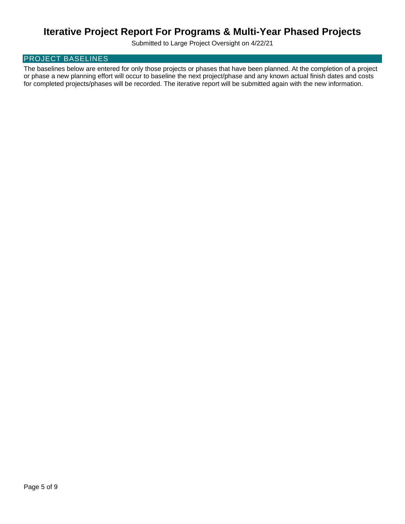Submitted to Large Project Oversight on 4/22/21

## PROJECT BASELINES

The baselines below are entered for only those projects or phases that have been planned. At the completion of a project or phase a new planning effort will occur to baseline the next project/phase and any known actual finish dates and costs for completed projects/phases will be recorded. The iterative report will be submitted again with the new information.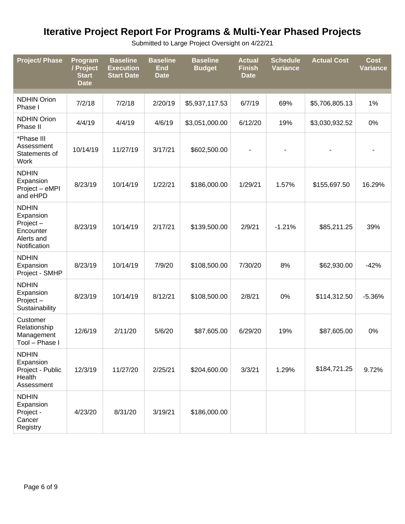Submitted to Large Project Oversight on 4/22/21

| <b>Project/ Phase</b>                                                            | Program<br>/ Project<br><b>Start</b><br><b>Date</b> | <b>Baseline</b><br><b>Execution</b><br><b>Start Date</b> | <b>Baseline</b><br><b>End</b><br><b>Date</b> | <b>Baseline</b><br><b>Budget</b> | <b>Actual</b><br><b>Finish</b><br><b>Date</b> | <b>Schedule</b><br><b>Variance</b> | <b>Actual Cost</b> | <b>Cost</b><br><b>Variance</b> |
|----------------------------------------------------------------------------------|-----------------------------------------------------|----------------------------------------------------------|----------------------------------------------|----------------------------------|-----------------------------------------------|------------------------------------|--------------------|--------------------------------|
| <b>NDHIN Orion</b><br>Phase I                                                    | 7/2/18                                              | 7/2/18                                                   | 2/20/19                                      | \$5,937,117.53                   | 6/7/19                                        | 69%                                | \$5,706,805.13     | 1%                             |
| <b>NDHIN Orion</b><br>Phase II                                                   | 4/4/19                                              | 4/4/19                                                   | 4/6/19                                       | \$3,051,000.00                   | 6/12/20                                       | 19%                                | \$3,030,932.52     | $0\%$                          |
| *Phase III<br>Assessment<br>Statements of<br><b>Work</b>                         | 10/14/19                                            | 11/27/19                                                 | 3/17/21                                      | \$602,500.00                     |                                               |                                    |                    |                                |
| <b>NDHIN</b><br>Expansion<br>Project - eMPI<br>and eHPD                          | 8/23/19                                             | 10/14/19                                                 | 1/22/21                                      | \$186,000.00                     | 1/29/21                                       | 1.57%                              | \$155,697.50       | 16.29%                         |
| <b>NDHIN</b><br>Expansion<br>Project-<br>Encounter<br>Alerts and<br>Notification | 8/23/19                                             | 10/14/19                                                 | 2/17/21                                      | \$139,500.00                     | 2/9/21                                        | $-1.21%$                           | \$85,211.25        | 39%                            |
| <b>NDHIN</b><br>Expansion<br>Project - SMHP                                      | 8/23/19                                             | 10/14/19                                                 | 7/9/20                                       | \$108,500.00                     | 7/30/20                                       | 8%                                 | \$62,930.00        | $-42%$                         |
| <b>NDHIN</b><br>Expansion<br>Project-<br>Sustainability                          | 8/23/19                                             | 10/14/19                                                 | 8/12/21                                      | \$108,500.00                     | 2/8/21                                        | 0%                                 | \$114,312.50       | $-5.36%$                       |
| Customer<br>Relationship<br>Management<br>Tool - Phase I                         | 12/6/19                                             | 2/11/20                                                  | 5/6/20                                       | \$87,605.00                      | 6/29/20                                       | 19%                                | \$87,605.00        | $0\%$                          |
| <b>NDHIN</b><br>Expansion<br>Project - Public<br>Health<br>Assessment            | 12/3/19                                             | 11/27/20                                                 | 2/25/21                                      | \$204,600.00                     | 3/3/21                                        | 1.29%                              | \$184,721.25       | 9.72%                          |
| <b>NDHIN</b><br>Expansion<br>Project -<br>Cancer<br>Registry                     | 4/23/20                                             | 8/31/20                                                  | 3/19/21                                      | \$186,000.00                     |                                               |                                    |                    |                                |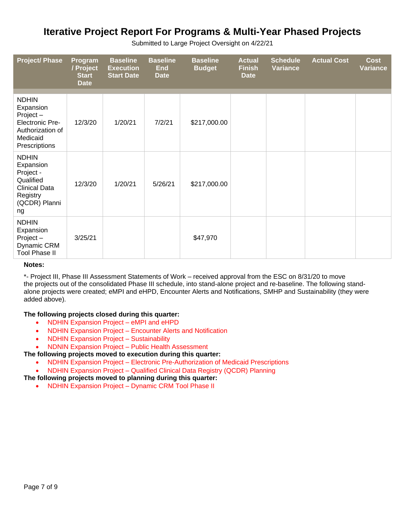| <b>Project/ Phase</b>                                                                                            | Program<br>/ Project<br><b>Start</b><br><b>Date</b> | <b>Baseline</b><br><b>Execution</b><br><b>Start Date</b> | <b>Baseline</b><br><b>End</b><br><b>Date</b> | <b>Baseline</b><br><b>Budget</b> | <b>Actual</b><br><b>Finish</b><br><b>Date</b> | <b>Schedule</b><br><b>Variance</b> | <b>Actual Cost</b> | <b>Cost</b><br><b>Variance</b> |
|------------------------------------------------------------------------------------------------------------------|-----------------------------------------------------|----------------------------------------------------------|----------------------------------------------|----------------------------------|-----------------------------------------------|------------------------------------|--------------------|--------------------------------|
| <b>NDHIN</b><br>Expansion<br>Project-<br><b>Electronic Pre-</b><br>Authorization of<br>Medicaid<br>Prescriptions | 12/3/20                                             | 1/20/21                                                  | 7/2/21                                       | \$217,000.00                     |                                               |                                    |                    |                                |
| <b>NDHIN</b><br>Expansion<br>Project -<br>Qualified<br><b>Clinical Data</b><br>Registry<br>(QCDR) Planni<br>ng   | 12/3/20                                             | 1/20/21                                                  | 5/26/21                                      | \$217,000.00                     |                                               |                                    |                    |                                |
| <b>NDHIN</b><br>Expansion<br>$Project -$<br>Dynamic CRM<br><b>Tool Phase II</b>                                  | 3/25/21                                             |                                                          |                                              | \$47,970                         |                                               |                                    |                    |                                |

Submitted to Large Project Oversight on 4/22/21

### **Notes:**

\*- Project III, Phase III Assessment Statements of Work – received approval from the ESC on 8/31/20 to move the projects out of the consolidated Phase III schedule, into stand-alone project and re-baseline. The following standalone projects were created; eMPI and eHPD, Encounter Alerts and Notifications, SMHP and Sustainability (they were added above).

### **The following projects closed during this quarter:**

- NDHIN Expansion Project eMPI and eHPD
- NDHIN Expansion Project Encounter Alerts and Notification
- NDHIN Expansion Project Sustainability
- NDNIN Expansion Project Public Health Assessment

### **The following projects moved to execution during this quarter:**

- NDHIN Expansion Project Electronic Pre-Authorization of Medicaid Prescriptions
- NDHIN Expansion Project Qualified Clinical Data Registry (QCDR) Planning
- **The following projects moved to planning during this quarter:**
	- NDHIN Expansion Project Dynamic CRM Tool Phase II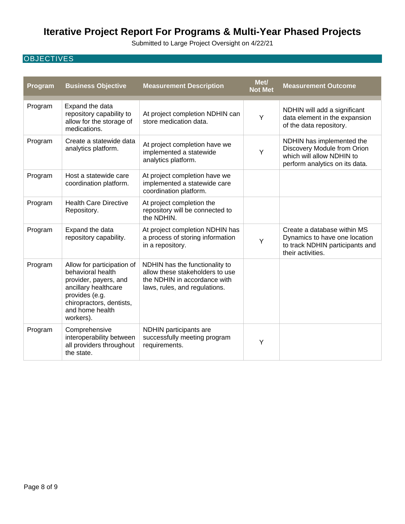Submitted to Large Project Oversight on 4/22/21

## **OBJECTIVES**

| Program | <b>Business Objective</b>                                                                                                                                                      | <b>Measurement Description</b>                                                                                                     | Met/<br><b>Not Met</b> | <b>Measurement Outcome</b>                                                                                              |
|---------|--------------------------------------------------------------------------------------------------------------------------------------------------------------------------------|------------------------------------------------------------------------------------------------------------------------------------|------------------------|-------------------------------------------------------------------------------------------------------------------------|
| Program | Expand the data<br>repository capability to<br>allow for the storage of<br>medications.                                                                                        | At project completion NDHIN can<br>store medication data.                                                                          | Y                      | NDHIN will add a significant<br>data element in the expansion<br>of the data repository.                                |
| Program | Create a statewide data<br>analytics platform.                                                                                                                                 | At project completion have we<br>implemented a statewide<br>analytics platform.                                                    | Y                      | NDHIN has implemented the<br>Discovery Module from Orion<br>which will allow NDHIN to<br>perform analytics on its data. |
| Program | Host a statewide care<br>coordination platform.                                                                                                                                | At project completion have we<br>implemented a statewide care<br>coordination platform.                                            |                        |                                                                                                                         |
| Program | <b>Health Care Directive</b><br>Repository.                                                                                                                                    | At project completion the<br>repository will be connected to<br>the NDHIN.                                                         |                        |                                                                                                                         |
| Program | Expand the data<br>repository capability.                                                                                                                                      | At project completion NDHIN has<br>a process of storing information<br>in a repository.                                            | Y                      | Create a database within MS<br>Dynamics to have one location<br>to track NDHIN participants and<br>their activities.    |
| Program | Allow for participation of<br>behavioral health<br>provider, payers, and<br>ancillary healthcare<br>provides (e.g.<br>chiropractors, dentists,<br>and home health<br>workers). | NDHIN has the functionality to<br>allow these stakeholders to use<br>the NDHIN in accordance with<br>laws, rules, and regulations. |                        |                                                                                                                         |
| Program | Comprehensive<br>interoperability between<br>all providers throughout<br>the state.                                                                                            | NDHIN participants are<br>successfully meeting program<br>requirements.                                                            | Y                      |                                                                                                                         |